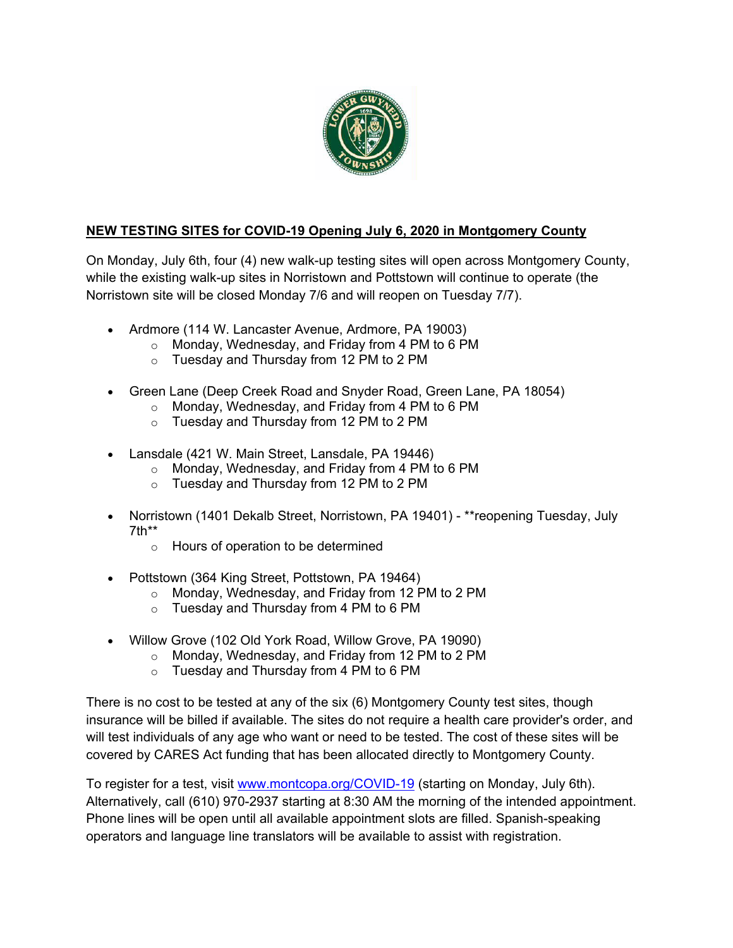

#### **NEW TESTING SITES for COVID-19 Opening July 6, 2020 in Montgomery County**

On Monday, July 6th, four (4) new walk-up testing sites will open across Montgomery County, while the existing walk-up sites in Norristown and Pottstown will continue to operate (the Norristown site will be closed Monday 7/6 and will reopen on Tuesday 7/7).

- Ardmore (114 W. Lancaster Avenue, Ardmore, PA 19003)
	- $\circ$  Monday, Wednesday, and Friday from 4 PM to 6 PM
	- o Tuesday and Thursday from 12 PM to 2 PM
- Green Lane (Deep Creek Road and Snyder Road, Green Lane, PA 18054)
	- $\circ$  Monday, Wednesday, and Friday from 4 PM to 6 PM
	- o Tuesday and Thursday from 12 PM to 2 PM
- Lansdale (421 W. Main Street, Lansdale, PA 19446)
	- o Monday, Wednesday, and Friday from 4 PM to 6 PM
	- o Tuesday and Thursday from 12 PM to 2 PM
- Norristown (1401 Dekalb Street, Norristown, PA 19401) \*\*reopening Tuesday, July 7th\*\*
	- o Hours of operation to be determined
- Pottstown (364 King Street, Pottstown, PA 19464)
	- o Monday, Wednesday, and Friday from 12 PM to 2 PM
	- o Tuesday and Thursday from 4 PM to 6 PM
- Willow Grove (102 Old York Road, Willow Grove, PA 19090)
	- o Monday, Wednesday, and Friday from 12 PM to 2 PM
	- $\circ$  Tuesday and Thursday from 4 PM to 6 PM

There is no cost to be tested at any of the six (6) Montgomery County test sites, though insurance will be billed if available. The sites do not require a health care provider's order, and will test individuals of any age who want or need to be tested. The cost of these sites will be covered by CARES Act funding that has been allocated directly to Montgomery County.

To register for a test, visit www.montcopa.org/COVID-19 (starting on Monday, July 6th). Alternatively, call (610) 970-2937 starting at 8:30 AM the morning of the intended appointment. Phone lines will be open until all available appointment slots are filled. Spanish-speaking operators and language line translators will be available to assist with registration.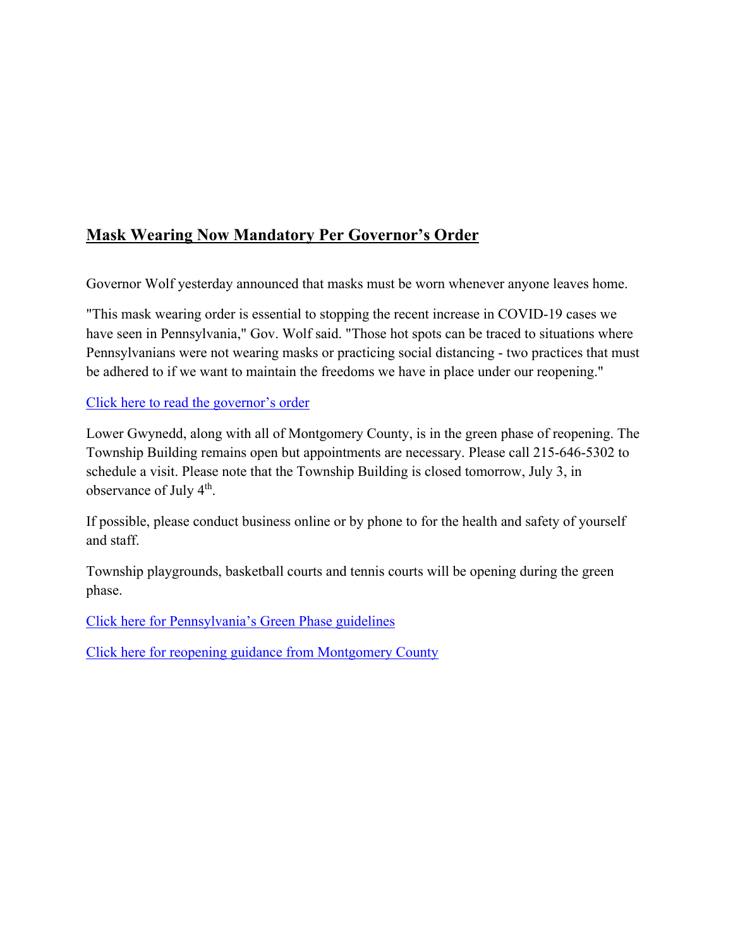# **Mask Wearing Now Mandatory Per Governor's Order**

Governor Wolf yesterday announced that masks must be worn whenever anyone leaves home.

"This mask wearing order is essential to stopping the recent increase in COVID-19 cases we have seen in Pennsylvania," Gov. Wolf said. "Those hot spots can be traced to situations where Pennsylvanians were not wearing masks or practicing social distancing - two practices that must be adhered to if we want to maintain the freedoms we have in place under our reopening."

#### Click here to read the governor's order

Lower Gwynedd, along with all of Montgomery County, is in the green phase of reopening. The Township Building remains open but appointments are necessary. Please call 215-646-5302 to schedule a visit. Please note that the Township Building is closed tomorrow, July 3, in observance of July 4<sup>th</sup>.

If possible, please conduct business online or by phone to for the health and safety of yourself and staff.

Township playgrounds, basketball courts and tennis courts will be opening during the green phase.

Click here for Pennsylvania's Green Phase guidelines

Click here for reopening guidance from Montgomery County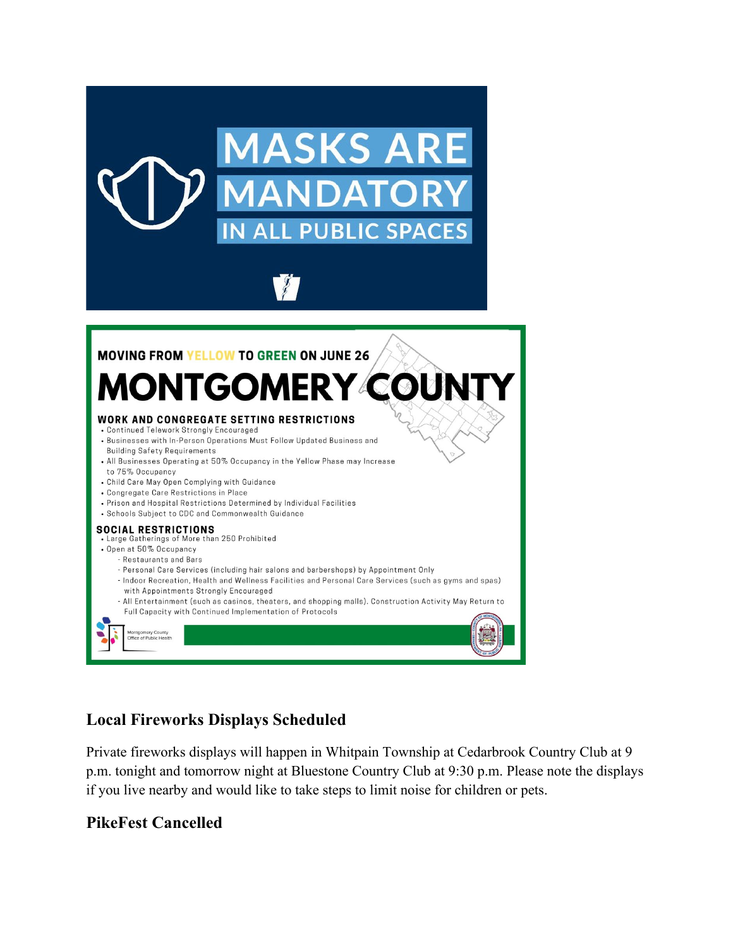



### **Local Fireworks Displays Scheduled**

Private fireworks displays will happen in Whitpain Township at Cedarbrook Country Club at 9 p.m. tonight and tomorrow night at Bluestone Country Club at 9:30 p.m. Please note the displays if you live nearby and would like to take steps to limit noise for children or pets.

### **PikeFest Cancelled**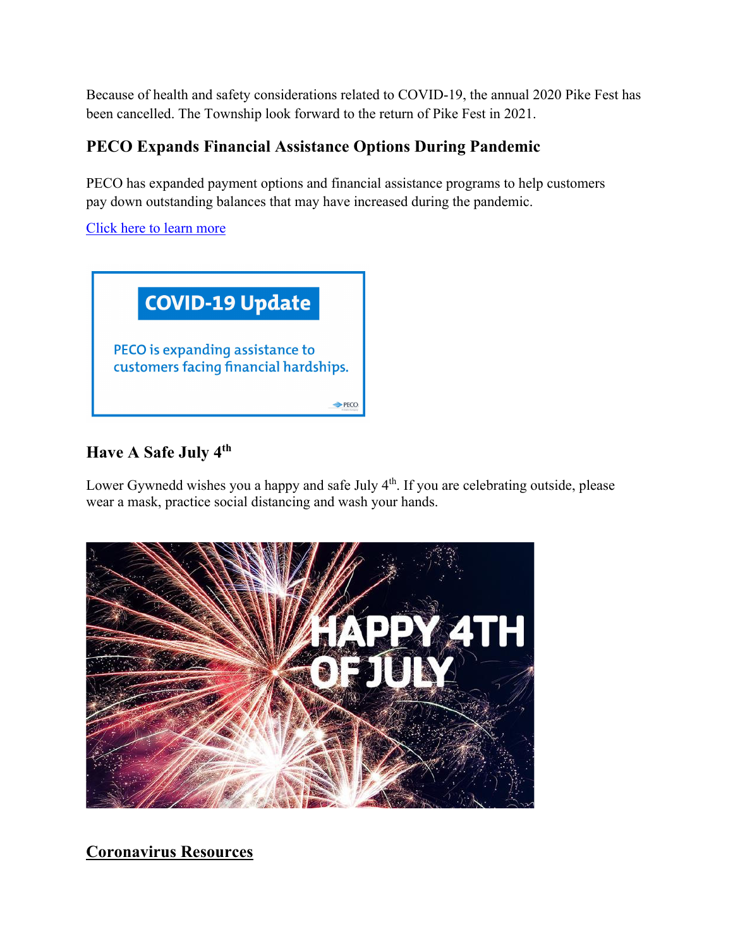Because of health and safety considerations related to COVID-19, the annual 2020 Pike Fest has been cancelled. The Township look forward to the return of Pike Fest in 2021.

# **PECO Expands Financial Assistance Options During Pandemic**

PECO has expanded payment options and financial assistance programs to help customers pay down outstanding balances that may have increased during the pandemic.

Click here to learn more



# **Have A Safe July 4th**

Lower Gywnedd wishes you a happy and safe July 4<sup>th</sup>. If you are celebrating outside, please wear a mask, practice social distancing and wash your hands.



**Coronavirus Resources**